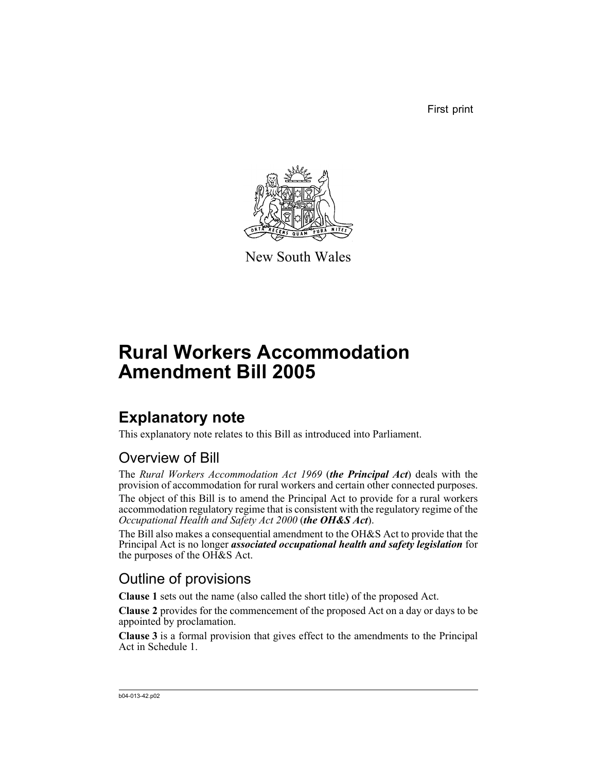First print



New South Wales

# **Rural Workers Accommodation Amendment Bill 2005**

## **Explanatory note**

This explanatory note relates to this Bill as introduced into Parliament.

## Overview of Bill

The *Rural Workers Accommodation Act 1969* (*the Principal Act*) deals with the provision of accommodation for rural workers and certain other connected purposes.

The object of this Bill is to amend the Principal Act to provide for a rural workers accommodation regulatory regime that is consistent with the regulatory regime of the *Occupational Health and Safety Act 2000* (*the OH&S Act*).

The Bill also makes a consequential amendment to the OH&S Act to provide that the Principal Act is no longer *associated occupational health and safety legislation* for the purposes of the OH&S Act.

## Outline of provisions

**Clause 1** sets out the name (also called the short title) of the proposed Act.

**Clause 2** provides for the commencement of the proposed Act on a day or days to be appointed by proclamation.

**Clause 3** is a formal provision that gives effect to the amendments to the Principal Act in Schedule 1.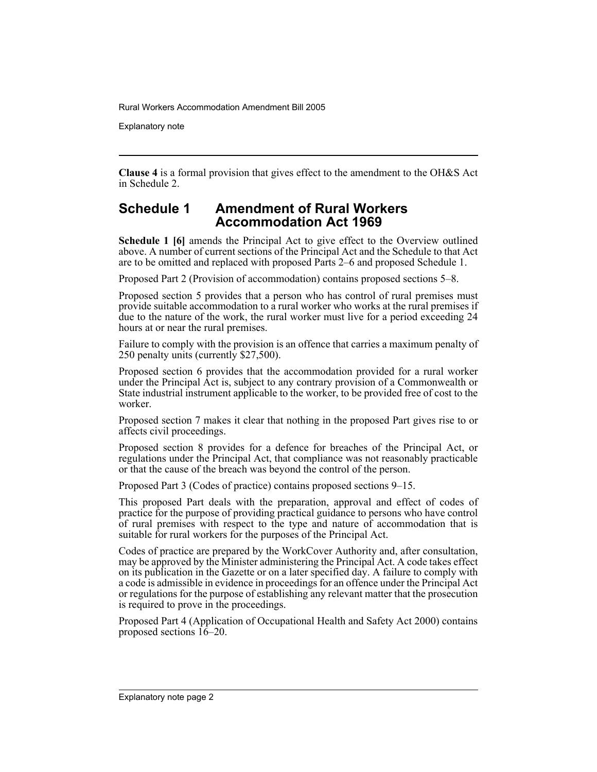Explanatory note

**Clause 4** is a formal provision that gives effect to the amendment to the OH&S Act in Schedule 2.

#### **Schedule 1 Amendment of Rural Workers Accommodation Act 1969**

**Schedule 1 [6]** amends the Principal Act to give effect to the Overview outlined above. A number of current sections of the Principal Act and the Schedule to that Act are to be omitted and replaced with proposed Parts 2–6 and proposed Schedule 1.

Proposed Part 2 (Provision of accommodation) contains proposed sections 5–8.

Proposed section 5 provides that a person who has control of rural premises must provide suitable accommodation to a rural worker who works at the rural premises if due to the nature of the work, the rural worker must live for a period exceeding 24 hours at or near the rural premises.

Failure to comply with the provision is an offence that carries a maximum penalty of 250 penalty units (currently \$27,500).

Proposed section 6 provides that the accommodation provided for a rural worker under the Principal Act is, subject to any contrary provision of a Commonwealth or State industrial instrument applicable to the worker, to be provided free of cost to the worker.

Proposed section 7 makes it clear that nothing in the proposed Part gives rise to or affects civil proceedings.

Proposed section 8 provides for a defence for breaches of the Principal Act, or regulations under the Principal Act, that compliance was not reasonably practicable or that the cause of the breach was beyond the control of the person.

Proposed Part 3 (Codes of practice) contains proposed sections 9–15.

This proposed Part deals with the preparation, approval and effect of codes of practice for the purpose of providing practical guidance to persons who have control of rural premises with respect to the type and nature of accommodation that is suitable for rural workers for the purposes of the Principal Act.

Codes of practice are prepared by the WorkCover Authority and, after consultation, may be approved by the Minister administering the Principal Act. A code takes effect on its publication in the Gazette or on a later specified day. A failure to comply with a code is admissible in evidence in proceedings for an offence under the Principal Act or regulations for the purpose of establishing any relevant matter that the prosecution is required to prove in the proceedings.

Proposed Part 4 (Application of Occupational Health and Safety Act 2000) contains proposed sections 16–20.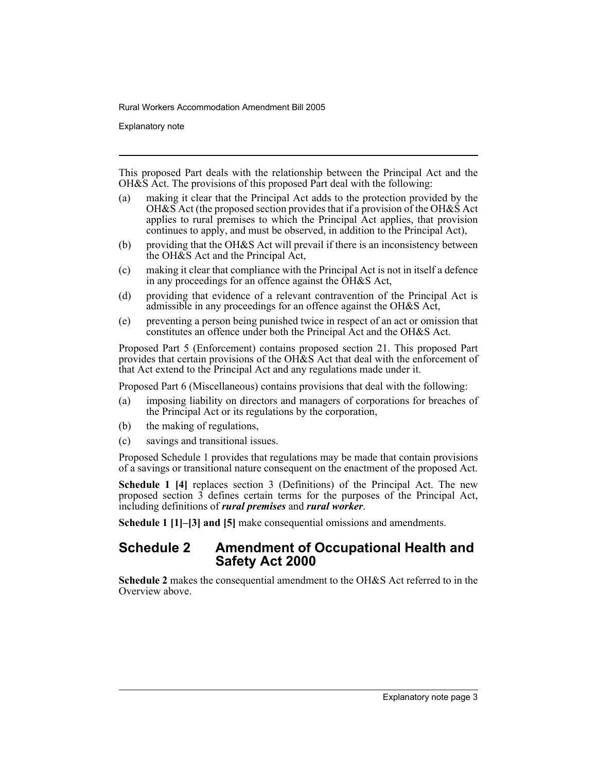Explanatory note

This proposed Part deals with the relationship between the Principal Act and the OH&S Act. The provisions of this proposed Part deal with the following:

- (a) making it clear that the Principal Act adds to the protection provided by the OH&S Act (the proposed section provides that if a provision of the OH&S Act applies to rural premises to which the Principal Act applies, that provision continues to apply, and must be observed, in addition to the Principal Act),
- (b) providing that the OH&S Act will prevail if there is an inconsistency between the OH&S Act and the Principal Act,
- (c) making it clear that compliance with the Principal Act is not in itself a defence in any proceedings for an offence against the OH&S Act,
- (d) providing that evidence of a relevant contravention of the Principal Act is admissible in any proceedings for an offence against the OH&S Act,
- (e) preventing a person being punished twice in respect of an act or omission that constitutes an offence under both the Principal Act and the OH&S Act.

Proposed Part 5 (Enforcement) contains proposed section 21. This proposed Part provides that certain provisions of the OH&S Act that deal with the enforcement of that Act extend to the Principal Act and any regulations made under it.

Proposed Part 6 (Miscellaneous) contains provisions that deal with the following:

- (a) imposing liability on directors and managers of corporations for breaches of the Principal Act or its regulations by the corporation,
- (b) the making of regulations,
- (c) savings and transitional issues.

Proposed Schedule 1 provides that regulations may be made that contain provisions of a savings or transitional nature consequent on the enactment of the proposed Act.

**Schedule 1 [4]** replaces section 3 (Definitions) of the Principal Act. The new proposed section 3 defines certain terms for the purposes of the Principal Act, including definitions of *rural premises* and *rural worker*.

**Schedule 1 [1]–[3] and [5]** make consequential omissions and amendments.

### **Schedule 2 Amendment of Occupational Health and Safety Act 2000**

**Schedule 2** makes the consequential amendment to the OH&S Act referred to in the Overview above.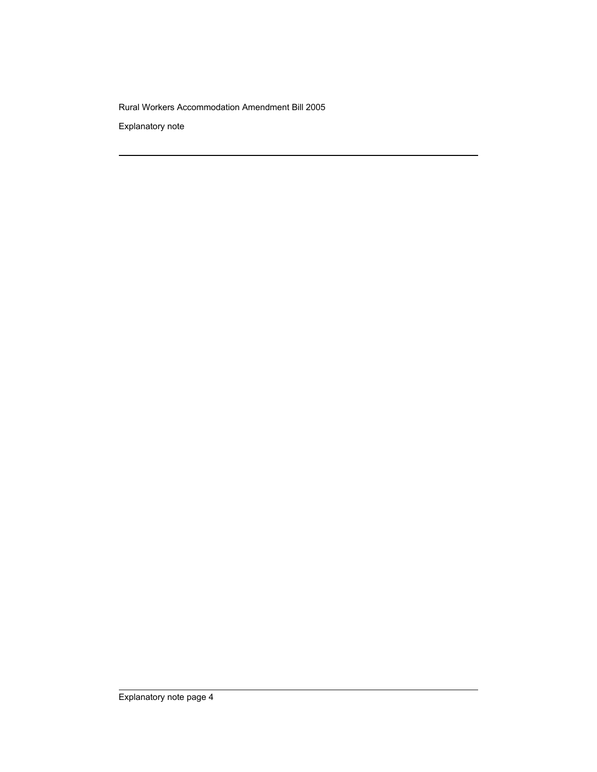Explanatory note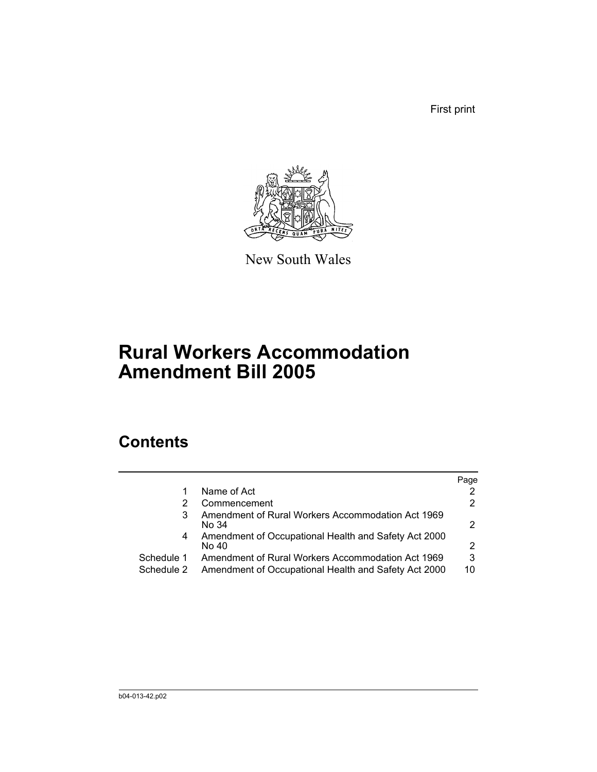First print



New South Wales

# **Rural Workers Accommodation Amendment Bill 2005**

## **Contents**

|                          |                                                                                                           | Page    |
|--------------------------|-----------------------------------------------------------------------------------------------------------|---------|
|                          | Name of Act                                                                                               |         |
|                          | Commencement                                                                                              |         |
|                          | Amendment of Rural Workers Accommodation Act 1969<br>No 34                                                | 2       |
| 4                        | Amendment of Occupational Health and Safety Act 2000<br>No 40                                             | 2       |
| Schedule 1<br>Schedule 2 | Amendment of Rural Workers Accommodation Act 1969<br>Amendment of Occupational Health and Safety Act 2000 | 3<br>10 |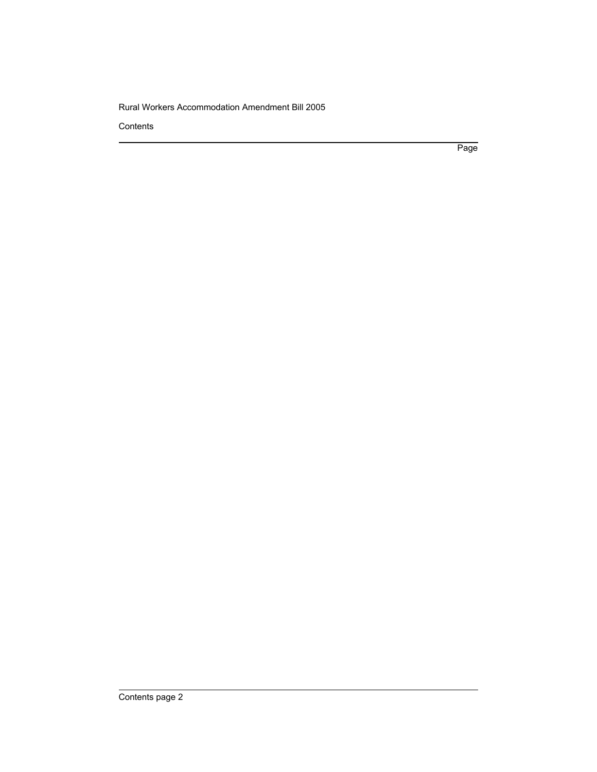**Contents** 

Page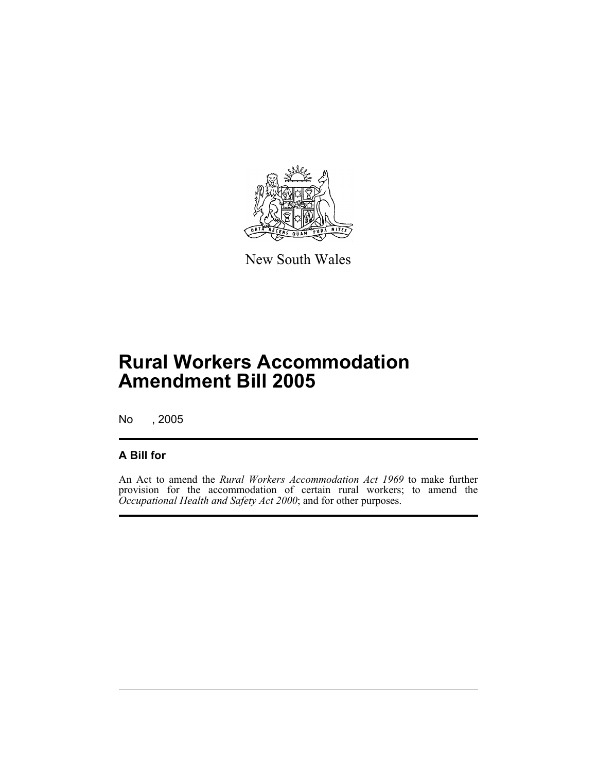

New South Wales

No , 2005

### **A Bill for**

An Act to amend the *Rural Workers Accommodation Act 1969* to make further provision for the accommodation of certain rural workers; to amend the *Occupational Health and Safety Act 2000*; and for other purposes.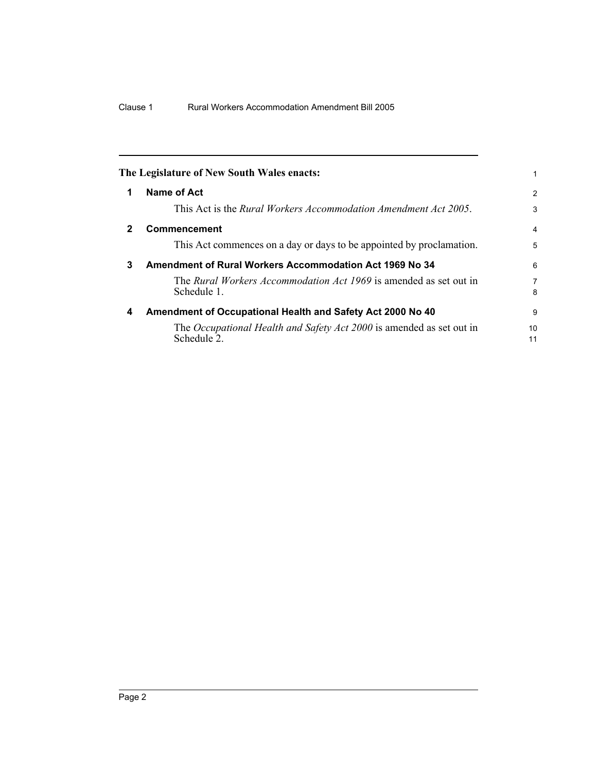|              | The Legislature of New South Wales enacts:                                          | 1                   |
|--------------|-------------------------------------------------------------------------------------|---------------------|
| 1            | Name of Act                                                                         | 2                   |
|              | This Act is the <i>Rural Workers Accommodation Amendment Act 2005</i> .             | 3                   |
| $\mathbf{2}$ | <b>Commencement</b>                                                                 | 4                   |
|              | This Act commences on a day or days to be appointed by proclamation.                | 5                   |
| 3            | Amendment of Rural Workers Accommodation Act 1969 No 34                             | 6                   |
|              | The Rural Workers Accommodation Act 1969 is amended as set out in<br>Schedule 1.    | $\overline{7}$<br>8 |
| 4            | Amendment of Occupational Health and Safety Act 2000 No 40                          | 9                   |
|              | The Occupational Health and Safety Act 2000 is amended as set out in<br>Schedule 2. | 10<br>11            |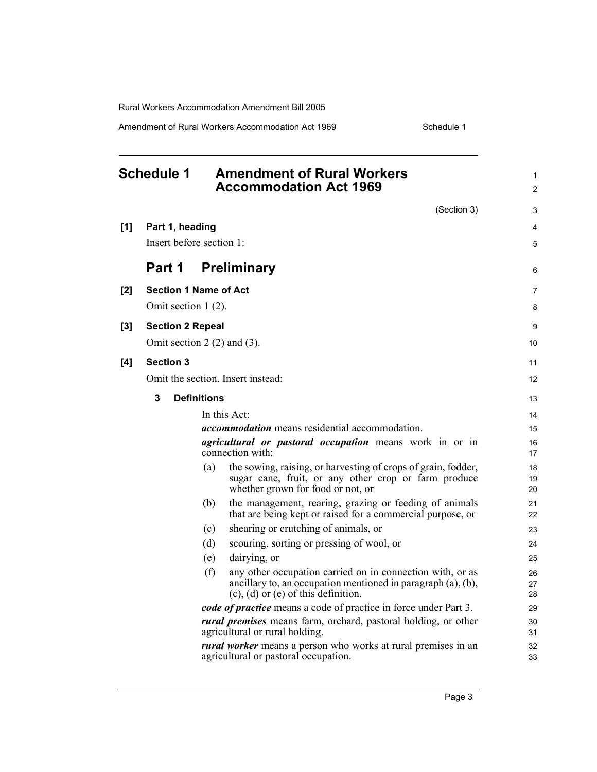Amendment of Rural Workers Accommodation Act 1969 Schedule 1

|       | <b>Schedule 1</b>               |                    | <b>Amendment of Rural Workers</b><br><b>Accommodation Act 1969</b>                                                                                                            | 1<br>$\overline{2}$ |
|-------|---------------------------------|--------------------|-------------------------------------------------------------------------------------------------------------------------------------------------------------------------------|---------------------|
|       |                                 |                    | (Section 3)                                                                                                                                                                   | 3                   |
| [1]   | Part 1, heading                 |                    |                                                                                                                                                                               | 4                   |
|       | Insert before section 1:        |                    |                                                                                                                                                                               | 5                   |
|       | Part 1                          |                    | <b>Preliminary</b>                                                                                                                                                            | 6                   |
| [2]   | <b>Section 1 Name of Act</b>    |                    |                                                                                                                                                                               | $\overline{7}$      |
|       | Omit section 1 (2).             |                    |                                                                                                                                                                               | 8                   |
| $[3]$ | <b>Section 2 Repeal</b>         |                    |                                                                                                                                                                               | 9                   |
|       | Omit section $2(2)$ and $(3)$ . |                    |                                                                                                                                                                               | 10                  |
| [4]   | <b>Section 3</b>                |                    |                                                                                                                                                                               | 11                  |
|       |                                 |                    | Omit the section. Insert instead:                                                                                                                                             | 12                  |
|       | 3                               | <b>Definitions</b> |                                                                                                                                                                               | 13                  |
|       |                                 |                    | In this Act:                                                                                                                                                                  | 14                  |
|       |                                 |                    | <i>accommodation</i> means residential accommodation.                                                                                                                         | 15                  |
|       |                                 |                    | <i>agricultural or pastoral occupation</i> means work in or in<br>connection with:                                                                                            | 16<br>17            |
|       |                                 | (a)                | the sowing, raising, or harvesting of crops of grain, fodder,<br>sugar cane, fruit, or any other crop or farm produce<br>whether grown for food or not, or                    | 18<br>19<br>20      |
|       |                                 | (b)                | the management, rearing, grazing or feeding of animals<br>that are being kept or raised for a commercial purpose, or                                                          | 21<br>22            |
|       |                                 | (c)                | shearing or crutching of animals, or                                                                                                                                          | 23                  |
|       |                                 | (d)                | scouring, sorting or pressing of wool, or                                                                                                                                     | 24                  |
|       |                                 | (e)                | dairying, or                                                                                                                                                                  | 25                  |
|       |                                 | (f)                | any other occupation carried on in connection with, or as<br>ancillary to, an occupation mentioned in paragraph $(a)$ , $(b)$ ,<br>$(c)$ , $(d)$ or $(e)$ of this definition. | 26<br>27<br>28      |
|       |                                 |                    | <i>code of practice</i> means a code of practice in force under Part 3.                                                                                                       | 29                  |
|       |                                 |                    | rural premises means farm, orchard, pastoral holding, or other<br>agricultural or rural holding.                                                                              | 30<br>31            |
|       |                                 |                    | <i>rural worker</i> means a person who works at rural premises in an<br>agricultural or pastoral occupation.                                                                  | 32<br>33            |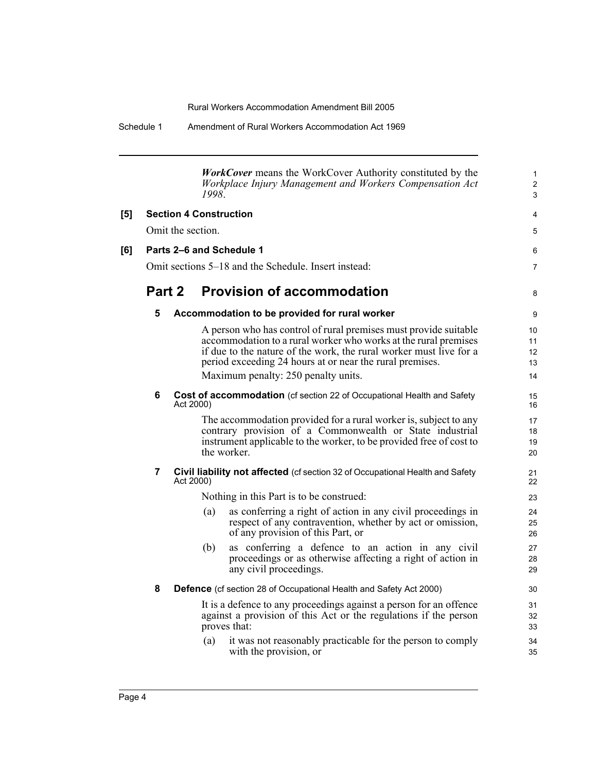Schedule 1 Amendment of Rural Workers Accommodation Act 1969

|     |                                                      |                   | 1998.     | <b>WorkCover</b> means the WorkCover Authority constituted by the<br>Workplace Injury Management and Workers Compensation Act                                                                                                                                                                                | 1<br>$\overline{2}$<br>3   |  |  |  |
|-----|------------------------------------------------------|-------------------|-----------|--------------------------------------------------------------------------------------------------------------------------------------------------------------------------------------------------------------------------------------------------------------------------------------------------------------|----------------------------|--|--|--|
| [5] |                                                      |                   |           | <b>Section 4 Construction</b>                                                                                                                                                                                                                                                                                | 4                          |  |  |  |
|     |                                                      | Omit the section. |           |                                                                                                                                                                                                                                                                                                              | 5                          |  |  |  |
| [6] | Parts 2-6 and Schedule 1                             |                   |           |                                                                                                                                                                                                                                                                                                              |                            |  |  |  |
|     | Omit sections 5–18 and the Schedule. Insert instead: |                   |           |                                                                                                                                                                                                                                                                                                              |                            |  |  |  |
|     | Part 2                                               |                   |           | <b>Provision of accommodation</b>                                                                                                                                                                                                                                                                            | 8                          |  |  |  |
|     | 5                                                    |                   |           | Accommodation to be provided for rural worker                                                                                                                                                                                                                                                                | 9                          |  |  |  |
|     |                                                      |                   |           | A person who has control of rural premises must provide suitable<br>accommodation to a rural worker who works at the rural premises<br>if due to the nature of the work, the rural worker must live for a<br>period exceeding 24 hours at or near the rural premises.<br>Maximum penalty: 250 penalty units. | 10<br>11<br>12<br>13<br>14 |  |  |  |
|     | 6                                                    | Act 2000)         |           | Cost of accommodation (cf section 22 of Occupational Health and Safety                                                                                                                                                                                                                                       | 15<br>16                   |  |  |  |
|     |                                                      |                   |           | The accommodation provided for a rural worker is, subject to any<br>contrary provision of a Commonwealth or State industrial<br>instrument applicable to the worker, to be provided free of cost to<br>the worker.                                                                                           | 17<br>18<br>19<br>20       |  |  |  |
|     | 7                                                    |                   | Act 2000) | Civil liability not affected (cf section 32 of Occupational Health and Safety                                                                                                                                                                                                                                | 21<br>22                   |  |  |  |
|     |                                                      |                   |           | Nothing in this Part is to be construed:                                                                                                                                                                                                                                                                     | 23                         |  |  |  |
|     |                                                      |                   | (a)       | as conferring a right of action in any civil proceedings in<br>respect of any contravention, whether by act or omission,<br>of any provision of this Part, or                                                                                                                                                | 24<br>25<br>26             |  |  |  |
|     |                                                      |                   | (b)       | as conferring a defence to an action in any civil<br>proceedings or as otherwise affecting a right of action in<br>any civil proceedings.                                                                                                                                                                    | 27<br>28<br>29             |  |  |  |
|     | 8                                                    |                   |           | Defence (cf section 28 of Occupational Health and Safety Act 2000)                                                                                                                                                                                                                                           | 30                         |  |  |  |
|     |                                                      |                   |           | It is a defence to any proceedings against a person for an offence<br>against a provision of this Act or the regulations if the person<br>proves that:                                                                                                                                                       | 31<br>32<br>33             |  |  |  |
|     |                                                      |                   | (a)       | it was not reasonably practicable for the person to comply<br>with the provision, or                                                                                                                                                                                                                         | 34<br>35                   |  |  |  |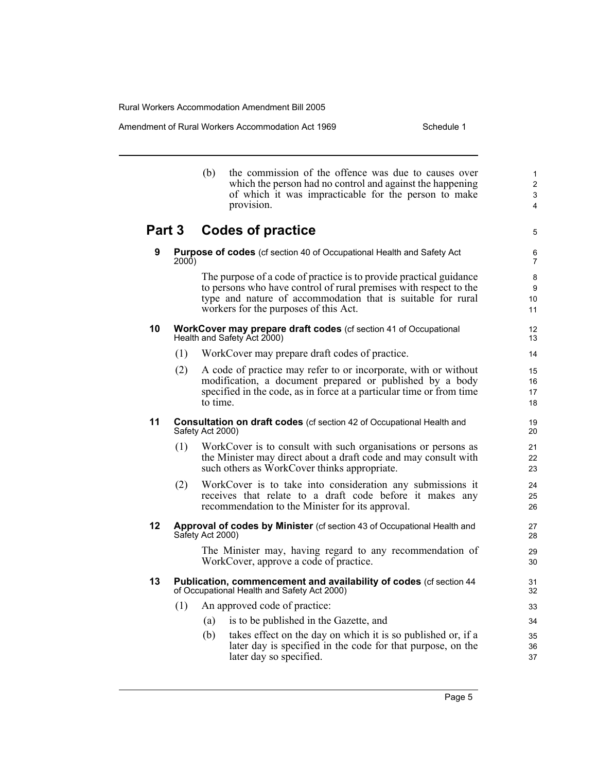Amendment of Rural Workers Accommodation Act 1969 Schedule 1

1

|        |                                                                                                                   | which the person had no control and against the happening<br>of which it was impracticable for the person to make<br>provision.                                                                                                                 | $\boldsymbol{2}$<br>3<br>$\overline{4}$ |  |  |  |
|--------|-------------------------------------------------------------------------------------------------------------------|-------------------------------------------------------------------------------------------------------------------------------------------------------------------------------------------------------------------------------------------------|-----------------------------------------|--|--|--|
| Part 3 |                                                                                                                   | <b>Codes of practice</b>                                                                                                                                                                                                                        | 5                                       |  |  |  |
| 9      | 2000)                                                                                                             | <b>Purpose of codes</b> (cf section 40 of Occupational Health and Safety Act                                                                                                                                                                    | 6<br>$\overline{7}$                     |  |  |  |
|        |                                                                                                                   | The purpose of a code of practice is to provide practical guidance<br>to persons who have control of rural premises with respect to the<br>type and nature of accommodation that is suitable for rural<br>workers for the purposes of this Act. | 8<br>9<br>10<br>11                      |  |  |  |
| 10     | WorkCover may prepare draft codes (cf section 41 of Occupational<br>Health and Safety Act 2000)                   |                                                                                                                                                                                                                                                 |                                         |  |  |  |
|        | (1)                                                                                                               | WorkCover may prepare draft codes of practice.                                                                                                                                                                                                  | 14                                      |  |  |  |
|        | (2)                                                                                                               | A code of practice may refer to or incorporate, with or without<br>modification, a document prepared or published by a body<br>specified in the code, as in force at a particular time or from time<br>to time.                                 | 15<br>16<br>17<br>18                    |  |  |  |
| 11     | <b>Consultation on draft codes</b> (cf section 42 of Occupational Health and<br>Safety Act 2000)                  |                                                                                                                                                                                                                                                 |                                         |  |  |  |
|        | (1)                                                                                                               | WorkCover is to consult with such organisations or persons as<br>the Minister may direct about a draft code and may consult with<br>such others as WorkCover thinks appropriate.                                                                | 21<br>22<br>23                          |  |  |  |
|        | (2)                                                                                                               | WorkCover is to take into consideration any submissions it<br>receives that relate to a draft code before it makes any<br>recommendation to the Minister for its approval.                                                                      | 24<br>25<br>26                          |  |  |  |
| 12     | Approval of codes by Minister (cf section 43 of Occupational Health and<br>Safety Act 2000)                       |                                                                                                                                                                                                                                                 |                                         |  |  |  |
|        |                                                                                                                   | The Minister may, having regard to any recommendation of<br>WorkCover, approve a code of practice.                                                                                                                                              | 29<br>30                                |  |  |  |
| 13     | Publication, commencement and availability of codes (cf section 44<br>of Occupational Health and Safety Act 2000) |                                                                                                                                                                                                                                                 |                                         |  |  |  |
|        | (1)                                                                                                               | An approved code of practice:                                                                                                                                                                                                                   | 33                                      |  |  |  |
|        |                                                                                                                   | is to be published in the Gazette, and<br>(a)                                                                                                                                                                                                   | 34                                      |  |  |  |
|        |                                                                                                                   | (b)<br>takes effect on the day on which it is so published or, if a<br>later day is specified in the code for that purpose, on the<br>later day so specified.                                                                                   | 35<br>36<br>37                          |  |  |  |

(b) the commission of the offence was due to causes over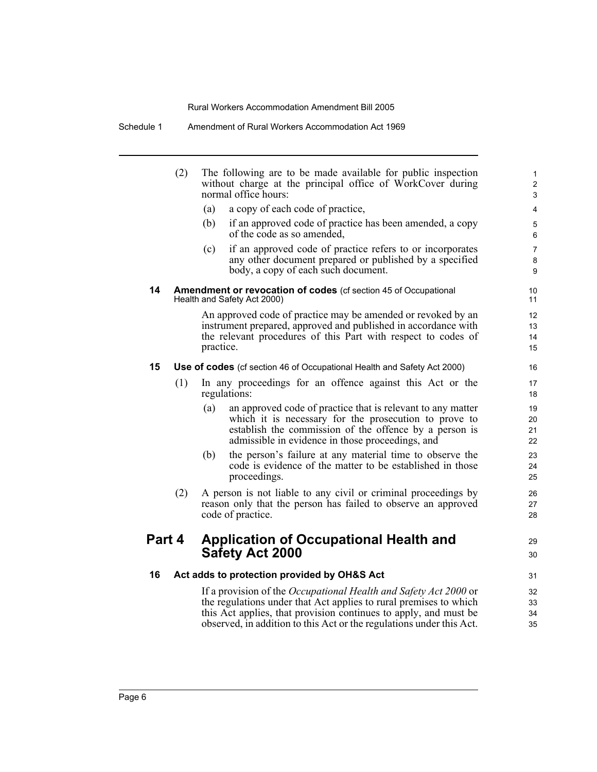Schedule 1 Amendment of Rural Workers Accommodation Act 1969

|        | (2) |                                                                           | The following are to be made available for public inspection<br>without charge at the principal office of WorkCover during<br>normal office hours:                                                                                                                                       | $\mathbf{1}$<br>2<br>3   |
|--------|-----|---------------------------------------------------------------------------|------------------------------------------------------------------------------------------------------------------------------------------------------------------------------------------------------------------------------------------------------------------------------------------|--------------------------|
|        |     | (a)                                                                       | a copy of each code of practice,                                                                                                                                                                                                                                                         | 4                        |
|        |     | (b)                                                                       | if an approved code of practice has been amended, a copy<br>of the code as so amended,                                                                                                                                                                                                   | 5<br>6                   |
|        |     | (c)                                                                       | if an approved code of practice refers to or incorporates<br>any other document prepared or published by a specified<br>body, a copy of each such document.                                                                                                                              | $\overline{7}$<br>8<br>9 |
| 14     |     |                                                                           | Amendment or revocation of codes (cf section 45 of Occupational<br>Health and Safety Act 2000)                                                                                                                                                                                           | 10<br>11                 |
|        |     | practice.                                                                 | An approved code of practice may be amended or revoked by an<br>instrument prepared, approved and published in accordance with<br>the relevant procedures of this Part with respect to codes of                                                                                          | 12<br>13<br>14<br>15     |
| 15     |     |                                                                           | Use of codes (cf section 46 of Occupational Health and Safety Act 2000)                                                                                                                                                                                                                  | 16                       |
| (1)    |     | In any proceedings for an offence against this Act or the<br>regulations: |                                                                                                                                                                                                                                                                                          |                          |
|        |     | (a)                                                                       | an approved code of practice that is relevant to any matter<br>which it is necessary for the prosecution to prove to<br>establish the commission of the offence by a person is<br>admissible in evidence in those proceedings, and                                                       | 19<br>20<br>21<br>22     |
|        |     | (b)                                                                       | the person's failure at any material time to observe the<br>code is evidence of the matter to be established in those<br>proceedings.                                                                                                                                                    | 23<br>24<br>25           |
|        | (2) |                                                                           | A person is not liable to any civil or criminal proceedings by<br>reason only that the person has failed to observe an approved<br>code of practice.                                                                                                                                     | 26<br>27<br>28           |
| Part 4 |     | <b>Application of Occupational Health and</b><br><b>Safety Act 2000</b>   |                                                                                                                                                                                                                                                                                          | 29<br>30                 |
| 16     |     |                                                                           | Act adds to protection provided by OH&S Act                                                                                                                                                                                                                                              | 31                       |
|        |     |                                                                           | If a provision of the <i>Occupational Health and Safety Act 2000</i> or<br>the regulations under that Act applies to rural premises to which<br>this Act applies, that provision continues to apply, and must be<br>observed, in addition to this Act or the regulations under this Act. | 32<br>33<br>34<br>35     |
|        |     |                                                                           |                                                                                                                                                                                                                                                                                          |                          |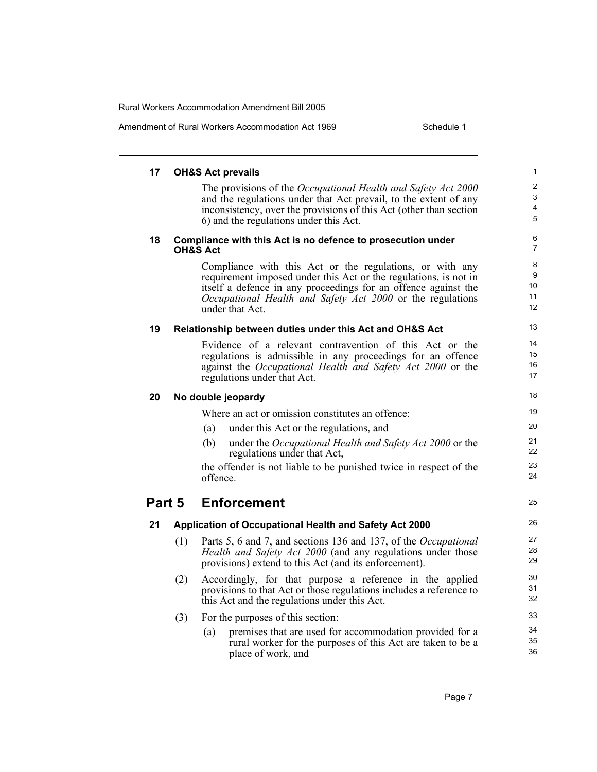Amendment of Rural Workers Accommodation Act 1969 Schedule 1

| 17     |     | <b>OH&amp;S Act prevails</b>                                                                                                           | 1                   |
|--------|-----|----------------------------------------------------------------------------------------------------------------------------------------|---------------------|
|        |     | The provisions of the Occupational Health and Safety Act 2000                                                                          | $\overline{2}$<br>3 |
|        |     | and the regulations under that Act prevail, to the extent of any<br>inconsistency, over the provisions of this Act (other than section | 4                   |
|        |     | 6) and the regulations under this Act.                                                                                                 | 5                   |
| 18     |     | Compliance with this Act is no defence to prosecution under<br><b>OH&amp;S Act</b>                                                     | 6<br>$\overline{7}$ |
|        |     | Compliance with this Act or the regulations, or with any                                                                               | 8<br>9              |
|        |     | requirement imposed under this Act or the regulations, is not in<br>itself a defence in any proceedings for an offence against the     | 10                  |
|        |     | Occupational Health and Safety Act 2000 or the regulations                                                                             | 11                  |
|        |     | under that Act.                                                                                                                        | 12                  |
| 19     |     | Relationship between duties under this Act and OH&S Act                                                                                | 13                  |
|        |     | Evidence of a relevant contravention of this Act or the                                                                                | 14<br>15            |
|        |     | regulations is admissible in any proceedings for an offence<br>against the Occupational Health and Safety Act 2000 or the              | 16                  |
|        |     | regulations under that Act.                                                                                                            | 17                  |
| 20     |     | No double jeopardy                                                                                                                     | 18                  |
|        |     | Where an act or omission constitutes an offence:                                                                                       | 19                  |
|        |     | under this Act or the regulations, and<br>(a)                                                                                          | 20                  |
|        |     | (b)<br>under the Occupational Health and Safety Act 2000 or the<br>regulations under that Act,                                         | 21<br>22            |
|        |     | the offender is not liable to be punished twice in respect of the<br>offence.                                                          | 23<br>24            |
| Part 5 |     | <b>Enforcement</b>                                                                                                                     | 25                  |
| 21     |     | Application of Occupational Health and Safety Act 2000                                                                                 | 26                  |
|        | (1) | Parts 5, 6 and 7, and sections 136 and 137, of the <i>Occupational</i>                                                                 | 27                  |
|        |     | Health and Safety Act 2000 (and any regulations under those<br>provisions) extend to this Act (and its enforcement).                   | 28<br>29            |
|        | (2) | Accordingly, for that purpose a reference in the applied                                                                               | 30                  |
|        |     | provisions to that Act or those regulations includes a reference to                                                                    | 31                  |
|        |     | this Act and the regulations under this Act.                                                                                           | 32                  |
|        |     |                                                                                                                                        | 33                  |
|        | (3) | For the purposes of this section:                                                                                                      |                     |
|        |     | premises that are used for accommodation provided for a<br>(a)<br>rural worker for the purposes of this Act are taken to be a          | 34<br>35            |

Page 7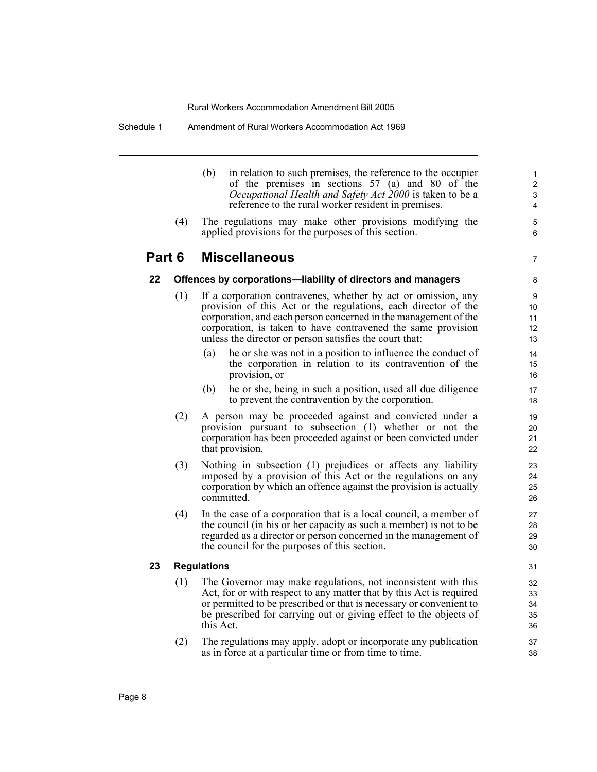Schedule 1 Amendment of Rural Workers Accommodation Act 1969

- (b) in relation to such premises, the reference to the occupier of the premises in sections 57 (a) and 80 of the *Occupational Health and Safety Act 2000* is taken to be a reference to the rural worker resident in premises.
- (4) The regulations may make other provisions modifying the applied provisions for the purposes of this section.

### **Part 6 Miscellaneous**

7

#### **22 Offences by corporations—liability of directors and managers**

- (1) If a corporation contravenes, whether by act or omission, any provision of this Act or the regulations, each director of the corporation, and each person concerned in the management of the corporation, is taken to have contravened the same provision unless the director or person satisfies the court that:
	- (a) he or she was not in a position to influence the conduct of the corporation in relation to its contravention of the provision, or
	- (b) he or she, being in such a position, used all due diligence to prevent the contravention by the corporation.
- (2) A person may be proceeded against and convicted under a provision pursuant to subsection (1) whether or not the corporation has been proceeded against or been convicted under that provision.
- (3) Nothing in subsection (1) prejudices or affects any liability imposed by a provision of this Act or the regulations on any corporation by which an offence against the provision is actually committed.
- (4) In the case of a corporation that is a local council, a member of the council (in his or her capacity as such a member) is not to be regarded as a director or person concerned in the management of the council for the purposes of this section.

#### **23 Regulations**

- (1) The Governor may make regulations, not inconsistent with this Act, for or with respect to any matter that by this Act is required or permitted to be prescribed or that is necessary or convenient to be prescribed for carrying out or giving effect to the objects of this Act.
- (2) The regulations may apply, adopt or incorporate any publication as in force at a particular time or from time to time.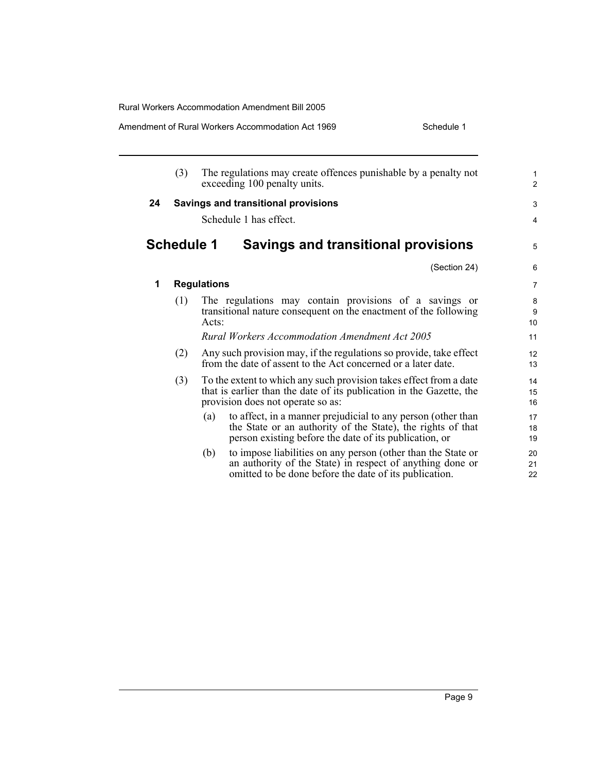|    |                   | Amendment of Rural Workers Accommodation Act 1969<br>Schedule 1                                                                                                                              |                |
|----|-------------------|----------------------------------------------------------------------------------------------------------------------------------------------------------------------------------------------|----------------|
|    | (3)               | The regulations may create offences punishable by a penalty not<br>exceeding 100 penalty units.                                                                                              | 1<br>2         |
| 24 |                   | Savings and transitional provisions                                                                                                                                                          | 3              |
|    |                   | Schedule 1 has effect.                                                                                                                                                                       | 4              |
|    | <b>Schedule 1</b> | <b>Savings and transitional provisions</b>                                                                                                                                                   | 5              |
|    |                   | (Section 24)                                                                                                                                                                                 | 6              |
| 1  |                   | <b>Regulations</b>                                                                                                                                                                           | $\overline{7}$ |
|    | (1)               | The regulations may contain provisions of a savings or<br>transitional nature consequent on the enactment of the following<br>Acts:                                                          | 8<br>9<br>10   |
|    |                   | Rural Workers Accommodation Amendment Act 2005                                                                                                                                               | 11             |
|    | (2)               | Any such provision may, if the regulations so provide, take effect<br>from the date of assent to the Act concerned or a later date.                                                          | 12<br>13       |
|    | (3)               | To the extent to which any such provision takes effect from a date<br>that is earlier than the date of its publication in the Gazette, the<br>provision does not operate so as:              | 14<br>15<br>16 |
|    |                   | to affect, in a manner prejudicial to any person (other than<br>(a)<br>the State or an authority of the State), the rights of that<br>person existing before the date of its publication, or | 17<br>18<br>19 |
|    |                   | to impose liabilities on any person (other than the State or<br>(b)<br>an authority of the State) in respect of anything done or<br>omitted to be done before the date of its publication.   | 20<br>21<br>22 |